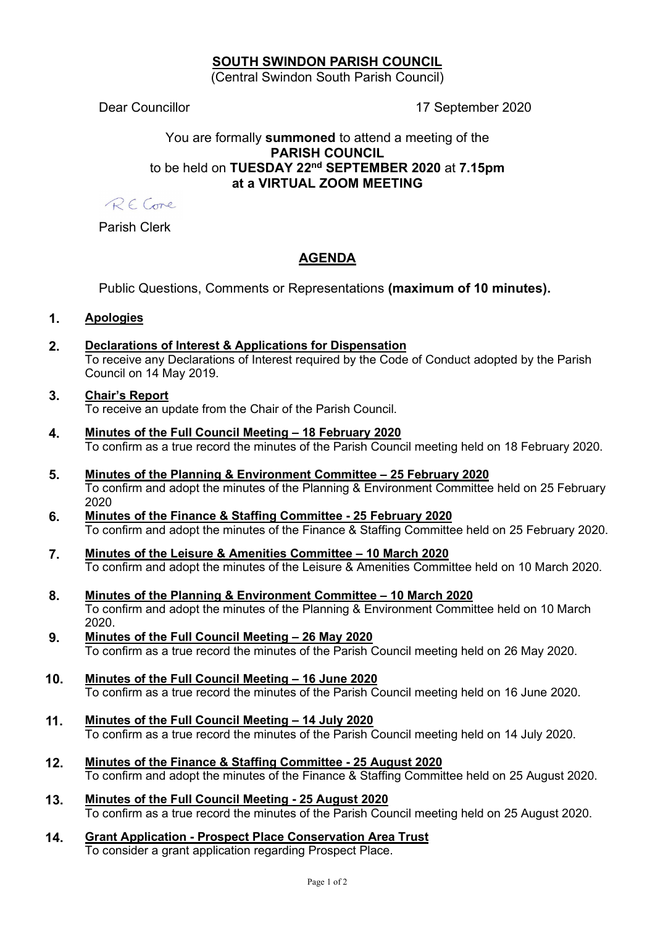# SOUTH SWINDON PARISH COUNCIL

(Central Swindon South Parish Council)

Dear Councillor 17 September 2020

# You are formally summoned to attend a meeting of the PARISH COUNCIL to be held on TUESDAY 22<sup>nd</sup> SEPTEMBER 2020 at 7.15pm at a VIRTUAL ZOOM MEETING

RECome

Parish Clerk

# AGENDA

Public Questions, Comments or Representations (maximum of 10 minutes).

# 1. Apologies

2. Declarations of Interest & Applications for Dispensation To receive any Declarations of Interest required by the Code of Conduct adopted by the Parish Council on 14 May 2019.

#### 3. Chair's Report To receive an update from the Chair of the Parish Council.

- 4. Minutes of the Full Council Meeting 18 February 2020 To confirm as a true record the minutes of the Parish Council meeting held on 18 February 2020.
- 5. Minutes of the Planning & Environment Committee 25 February 2020 To confirm and adopt the minutes of the Planning & Environment Committee held on 25 February 2020
- 6. Minutes of the Finance & Staffing Committee 25 February 2020 To confirm and adopt the minutes of the Finance & Staffing Committee held on 25 February 2020.
- 7. Minutes of the Leisure & Amenities Committee 10 March 2020 To confirm and adopt the minutes of the Leisure & Amenities Committee held on 10 March 2020.
- 8. Minutes of the Planning & Environment Committee 10 March 2020 To confirm and adopt the minutes of the Planning & Environment Committee held on 10 March 2020.
- 9. Minutes of the Full Council Meeting 26 May 2020 To confirm as a true record the minutes of the Parish Council meeting held on 26 May 2020.
- 10. Minutes of the Full Council Meeting 16 June 2020 To confirm as a true record the minutes of the Parish Council meeting held on 16 June 2020.
- 11. Minutes of the Full Council Meeting 14 July 2020 To confirm as a true record the minutes of the Parish Council meeting held on 14 July 2020.
- 12. Minutes of the Finance & Staffing Committee 25 August 2020 To confirm and adopt the minutes of the Finance & Staffing Committee held on 25 August 2020.
- 13. Minutes of the Full Council Meeting 25 August 2020 To confirm as a true record the minutes of the Parish Council meeting held on 25 August 2020.
- 14. Grant Application Prospect Place Conservation Area Trust To consider a grant application regarding Prospect Place.